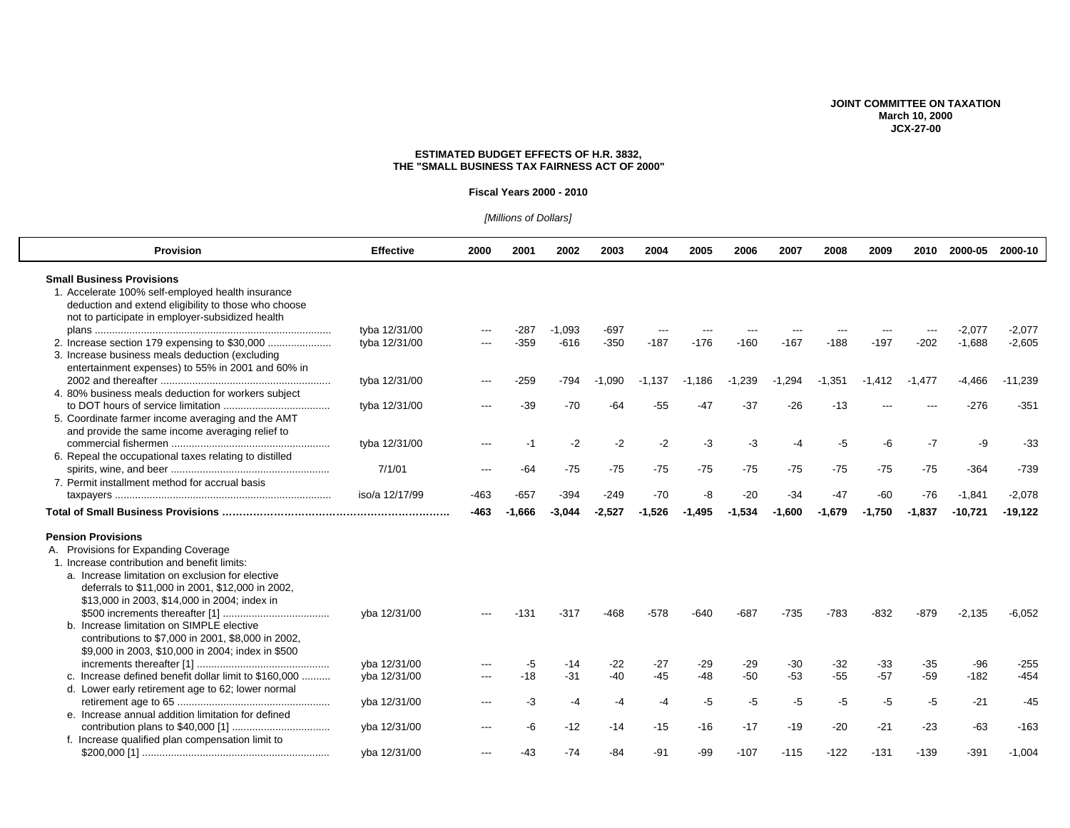## **JOINT COMMITTEE ON TAXATION March 10, 2000 JCX-27-00**

## **ESTIMATED BUDGET EFFECTS OF H.R. 3832, THE "SMALL BUSINESS TAX FAIRNESS ACT OF 2000"**

#### **Fiscal Years 2000 - 2010**

# [Millions of Dollars]

| <b>Provision</b>                                       | <b>Effective</b> | 2000 | 2001        | 2002     | 2003           | 2004           | 2005           | 2006           | 2007           | 2008           | 2009           | 2010           | 2000-05         | 2000-10          |
|--------------------------------------------------------|------------------|------|-------------|----------|----------------|----------------|----------------|----------------|----------------|----------------|----------------|----------------|-----------------|------------------|
| <b>Small Business Provisions</b>                       |                  |      |             |          |                |                |                |                |                |                |                |                |                 |                  |
| 1. Accelerate 100% self-employed health insurance      |                  |      |             |          |                |                |                |                |                |                |                |                |                 |                  |
| deduction and extend eligibility to those who choose   |                  |      |             |          |                |                |                |                |                |                |                |                |                 |                  |
| not to participate in employer-subsidized health       |                  |      |             |          |                |                |                |                |                |                |                |                |                 |                  |
|                                                        | tyba 12/31/00    |      | $-287$      | $-1.093$ | -697           | $---$          |                |                |                |                |                |                | -2.077          | $-2,077$         |
|                                                        | tyba 12/31/00    |      | $-359$      | $-616$   | $-350$         | $-187$         | $-176$         | $-160$         | $-167$         | $-188$         | $-197$         | $-202$         | $-1,688$        | $-2,605$         |
| 3. Increase business meals deduction (excluding        |                  |      |             |          |                |                |                |                |                |                |                |                |                 |                  |
| entertainment expenses) to 55% in 2001 and 60% in      |                  |      |             |          |                |                |                |                |                |                |                |                |                 |                  |
|                                                        | tyba 12/31/00    |      | $-259$      | $-794$   | $-1,090$       | $-1,137$       | $-1,186$       | $-1,239$       | $-1,294$       | $-1,351$       | $-1,412$       | $-1,477$       | $-4,466$        | $-11,239$        |
| 4. 80% business meals deduction for workers subject    |                  |      |             |          |                |                |                |                |                |                |                |                |                 |                  |
|                                                        | tyba 12/31/00    |      | $-39$       | $-70$    | $-64$          | $-55$          | $-47$          | $-37$          | $-26$          | $-13$          |                |                | $-276$          | $-351$           |
| 5. Coordinate farmer income averaging and the AMT      |                  |      |             |          |                |                |                |                |                |                |                |                |                 |                  |
| and provide the same income averaging relief to        |                  |      |             |          |                |                |                |                |                |                |                |                |                 |                  |
|                                                        | tyba 12/31/00    |      | -1          | $-2$     | $-2$           | $-2$           | -3             | -3             | -4             | -5             | -6             | $-7$           | -9              | $-33$            |
| 6. Repeal the occupational taxes relating to distilled |                  |      |             |          |                |                |                |                |                |                |                |                |                 |                  |
|                                                        | 7/1/01           |      | -64         | $-75$    | $-75$          | $-75$          | $-75$          | -75            | -75            | $-75$          | -75            | $-75$          | $-364$          | $-739$           |
| 7. Permit installment method for accrual basis         |                  |      |             |          |                |                |                |                |                |                |                |                |                 |                  |
|                                                        | iso/a 12/17/99   | -463 | $-657$      | $-394$   | $-249$         | $-70$          | -8             | $-20$          | $-34$          | $-47$          | $-60$          | $-76$          | $-1.841$        | $-2,078$         |
|                                                        |                  |      |             |          |                |                |                |                |                |                |                |                |                 |                  |
|                                                        |                  | -463 | -1.666      | -3.044   | $-2,527$       | $-1,526$       | $-1.495$       | $-1.534$       | $-1,600$       | $-1.679$       | $-1,750$       | $-1,837$       | $-10,721$       | $-19,122$        |
| <b>Pension Provisions</b>                              |                  |      |             |          |                |                |                |                |                |                |                |                |                 |                  |
| A. Provisions for Expanding Coverage                   |                  |      |             |          |                |                |                |                |                |                |                |                |                 |                  |
| 1. Increase contribution and benefit limits:           |                  |      |             |          |                |                |                |                |                |                |                |                |                 |                  |
| a. Increase limitation on exclusion for elective       |                  |      |             |          |                |                |                |                |                |                |                |                |                 |                  |
| deferrals to \$11,000 in 2001, \$12,000 in 2002,       |                  |      |             |          |                |                |                |                |                |                |                |                |                 |                  |
| \$13,000 in 2003, \$14,000 in 2004; index in           |                  |      |             |          |                |                |                |                |                |                |                |                |                 |                  |
|                                                        | yba 12/31/00     |      |             | -317     | -468           | -578           |                | -687           | $-735$         | $-783$         | $-832$         | $-879$         | $-2,135$        | $-6,052$         |
| b. Increase limitation on SIMPLE elective              |                  |      | -131        |          |                |                | -640           |                |                |                |                |                |                 |                  |
| contributions to \$7,000 in 2001, \$8,000 in 2002,     |                  |      |             |          |                |                |                |                |                |                |                |                |                 |                  |
| \$9,000 in 2003, \$10,000 in 2004; index in \$500      |                  |      |             |          |                |                |                |                |                |                |                |                |                 |                  |
|                                                        | yba 12/31/00     |      |             | $-14$    |                |                |                |                |                |                |                |                |                 |                  |
|                                                        |                  |      | -5<br>$-18$ | $-31$    | $-22$<br>$-40$ | $-27$<br>$-45$ | $-29$<br>$-48$ | $-29$<br>$-50$ | $-30$<br>$-53$ | $-32$<br>$-55$ | $-33$<br>$-57$ | $-35$<br>$-59$ | $-96$<br>$-182$ | $-255$<br>$-454$ |
| c. Increase defined benefit dollar limit to \$160,000  | yba 12/31/00     |      |             |          |                |                |                |                |                |                |                |                |                 |                  |
| d. Lower early retirement age to 62; lower normal      |                  |      |             |          |                |                |                |                |                |                |                |                | $-21$           | $-45$            |
|                                                        | yba 12/31/00     |      | -3          | $-4$     | -4             | -4             | $-5$           | -5             | -5             | -5             | -5             | -5             |                 |                  |
| e. Increase annual addition limitation for defined     |                  |      |             |          |                |                |                | $-17$          | $-19$          |                |                |                |                 |                  |
|                                                        | yba 12/31/00     |      | -6          | $-12$    | $-14$          | $-15$          | $-16$          |                |                | $-20$          | $-21$          | $-23$          | $-63$           | $-163$           |
| f. Increase qualified plan compensation limit to       | vba 12/31/00     |      |             |          |                |                |                |                |                |                |                |                | $-391$          | $-1.004$         |
|                                                        |                  |      | -43         | $-74$    | -84            | -91            | -99            | $-107$         | $-115$         | $-122$         | $-131$         | $-139$         |                 |                  |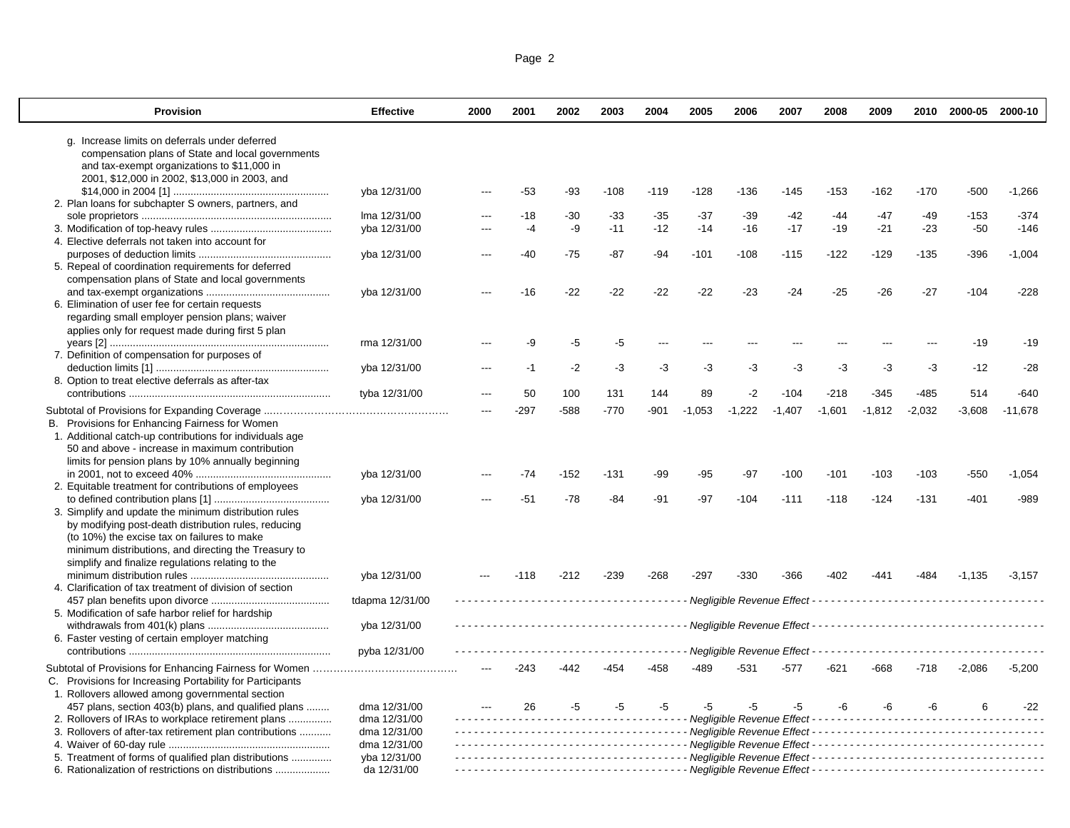| Page 2 |  |  |
|--------|--|--|
|        |  |  |

| <b>Provision</b>                                          | <b>Effective</b> | 2000  | 2001   | 2002   | 2003   | 2004   | 2005     | 2006                          | 2007           | 2008     | 2009     |          | 2010 2000-05 2000-10 |           |
|-----------------------------------------------------------|------------------|-------|--------|--------|--------|--------|----------|-------------------------------|----------------|----------|----------|----------|----------------------|-----------|
| g. Increase limits on deferrals under deferred            |                  |       |        |        |        |        |          |                               |                |          |          |          |                      |           |
| compensation plans of State and local governments         |                  |       |        |        |        |        |          |                               |                |          |          |          |                      |           |
| and tax-exempt organizations to \$11,000 in               |                  |       |        |        |        |        |          |                               |                |          |          |          |                      |           |
| 2001, \$12,000 in 2002, \$13,000 in 2003, and             |                  |       |        |        |        |        |          |                               |                |          |          |          |                      |           |
|                                                           | yba 12/31/00     |       | $-53$  | $-93$  | $-108$ | $-119$ | $-128$   | $-136$                        | $-145$         | $-153$   | $-162$   | $-170$   | $-500$               | $-1,266$  |
| 2. Plan loans for subchapter S owners, partners, and      |                  |       |        |        |        |        |          |                               |                |          |          |          |                      |           |
|                                                           | Ima 12/31/00     |       | $-18$  | $-30$  | $-33$  | $-35$  | $-37$    | $-39$                         | $-42$<br>$-17$ | $-44$    | $-47$    | $-49$    | $-153$               | $-374$    |
| 4. Elective deferrals not taken into account for          | yba 12/31/00     | ---   | -4     | -9     | $-11$  | $-12$  | $-14$    | $-16$                         |                | $-19$    | $-21$    | $-23$    | $-50$                | $-146$    |
|                                                           | yba 12/31/00     | ---   | $-40$  | $-75$  | $-87$  | $-94$  | $-101$   | $-108$                        | $-115$         | $-122$   | $-129$   | $-135$   | $-396$               | $-1,004$  |
| 5. Repeal of coordination requirements for deferred       |                  |       |        |        |        |        |          |                               |                |          |          |          |                      |           |
| compensation plans of State and local governments         |                  |       |        |        |        |        |          |                               |                |          |          |          |                      |           |
|                                                           | yba 12/31/00     |       | $-16$  | $-22$  | $-22$  | $-22$  | $-22$    | $-23$                         | $-24$          | $-25$    | $-26$    | $-27$    | $-104$               | $-228$    |
| 6. Elimination of user fee for certain requests           |                  |       |        |        |        |        |          |                               |                |          |          |          |                      |           |
| regarding small employer pension plans; waiver            |                  |       |        |        |        |        |          |                               |                |          |          |          |                      |           |
| applies only for request made during first 5 plan         |                  |       |        |        |        |        |          |                               |                |          |          |          |                      |           |
|                                                           | rma 12/31/00     |       | -9     | $-5$   | -5     | ---    | ---      |                               |                | $- - -$  |          |          | $-19$                | $-19$     |
| 7. Definition of compensation for purposes of             |                  |       |        |        |        |        |          |                               |                |          |          |          |                      |           |
|                                                           | yba 12/31/00     |       | -1     | $-2$   | $-3$   | -3     | $-3$     | -3                            | -3             | $-3$     | -3       | -3       | $-12$                | $-28$     |
| 8. Option to treat elective deferrals as after-tax        |                  |       |        |        |        |        |          |                               |                |          |          |          |                      |           |
|                                                           | tyba 12/31/00    | ---   | 50     | 100    | 131    | 144    | 89       | $-2$                          | $-104$         | $-218$   | $-345$   | $-485$   | 514                  | $-640$    |
|                                                           |                  | $---$ | $-297$ | $-588$ | $-770$ | -901   | $-1,053$ | $-1.222$                      | $-1,407$       | $-1.601$ | $-1,812$ | $-2,032$ | $-3,608$             | $-11,678$ |
| B. Provisions for Enhancing Fairness for Women            |                  |       |        |        |        |        |          |                               |                |          |          |          |                      |           |
| 1. Additional catch-up contributions for individuals age  |                  |       |        |        |        |        |          |                               |                |          |          |          |                      |           |
| 50 and above - increase in maximum contribution           |                  |       |        |        |        |        |          |                               |                |          |          |          |                      |           |
| limits for pension plans by 10% annually beginning        |                  |       |        |        |        |        |          |                               |                |          |          |          |                      |           |
|                                                           | yba 12/31/00     |       | -74    | $-152$ | -131   | -99    | -95      | -97                           | $-100$         | $-101$   | $-103$   | $-103$   | -550                 | $-1,054$  |
| 2. Equitable treatment for contributions of employees     |                  |       |        |        |        |        |          |                               |                |          |          |          |                      |           |
|                                                           | yba 12/31/00     |       | $-51$  | $-78$  | $-84$  | $-91$  | $-97$    | $-104$                        | $-111$         | $-118$   | $-124$   | $-131$   | $-401$               | $-989$    |
| 3. Simplify and update the minimum distribution rules     |                  |       |        |        |        |        |          |                               |                |          |          |          |                      |           |
| by modifying post-death distribution rules, reducing      |                  |       |        |        |        |        |          |                               |                |          |          |          |                      |           |
| (to 10%) the excise tax on failures to make               |                  |       |        |        |        |        |          |                               |                |          |          |          |                      |           |
| minimum distributions, and directing the Treasury to      |                  |       |        |        |        |        |          |                               |                |          |          |          |                      |           |
| simplify and finalize regulations relating to the         |                  |       |        |        |        |        |          |                               |                |          |          |          |                      |           |
|                                                           | yba 12/31/00     |       | $-118$ | $-212$ | $-239$ | $-268$ | $-297$   | $-330$                        | $-366$         | -402     | -441     | -484     | $-1.135$             | $-3.157$  |
| 4. Clarification of tax treatment of division of section  |                  |       |        |        |        |        |          |                               |                |          |          |          |                      |           |
|                                                           | tdapma 12/31/00  |       |        |        |        |        |          |                               |                |          |          |          |                      |           |
| 5. Modification of safe harbor relief for hardship        |                  |       |        |        |        |        |          |                               |                |          |          |          |                      |           |
|                                                           | yba 12/31/00     |       |        |        |        |        |          |                               |                |          |          |          |                      |           |
| 6. Faster vesting of certain employer matching            |                  |       |        |        |        |        |          |                               |                |          |          |          |                      |           |
|                                                           | pyba 12/31/00    |       |        |        |        |        |          | - Negligible Revenue Effect - |                |          |          |          |                      |           |
|                                                           |                  |       | $-243$ | $-442$ | $-454$ | $-458$ | -489     | $-531$                        | $-577$         | $-621$   | $-668$   | $-718$   | $-2,086$             | $-5,200$  |
| C. Provisions for Increasing Portability for Participants |                  |       |        |        |        |        |          |                               |                |          |          |          |                      |           |
| 1. Rollovers allowed among governmental section           |                  |       |        |        |        |        |          |                               |                |          |          |          |                      |           |
| 457 plans, section 403(b) plans, and qualified plans      | dma 12/31/00     |       | 26     | $-5$   | $-5$   | $-5$   | -5       | $-5$                          | -5             | -6       | -6       | $-6$     | 6                    | $-22$     |
| 2. Rollovers of IRAs to workplace retirement plans        | dma 12/31/00     |       |        |        |        |        |          |                               |                |          |          |          |                      |           |
| 3. Rollovers of after-tax retirement plan contributions   | dma 12/31/00     |       |        |        |        |        |          |                               |                |          |          |          |                      |           |
|                                                           | dma 12/31/00     |       |        |        |        |        |          |                               |                |          |          |          |                      |           |
| 5. Treatment of forms of qualified plan distributions     | yba 12/31/00     |       |        |        |        |        |          |                               |                |          |          |          |                      |           |
| 6. Rationalization of restrictions on distributions       | da 12/31/00      |       |        |        |        |        |          |                               |                |          |          |          |                      |           |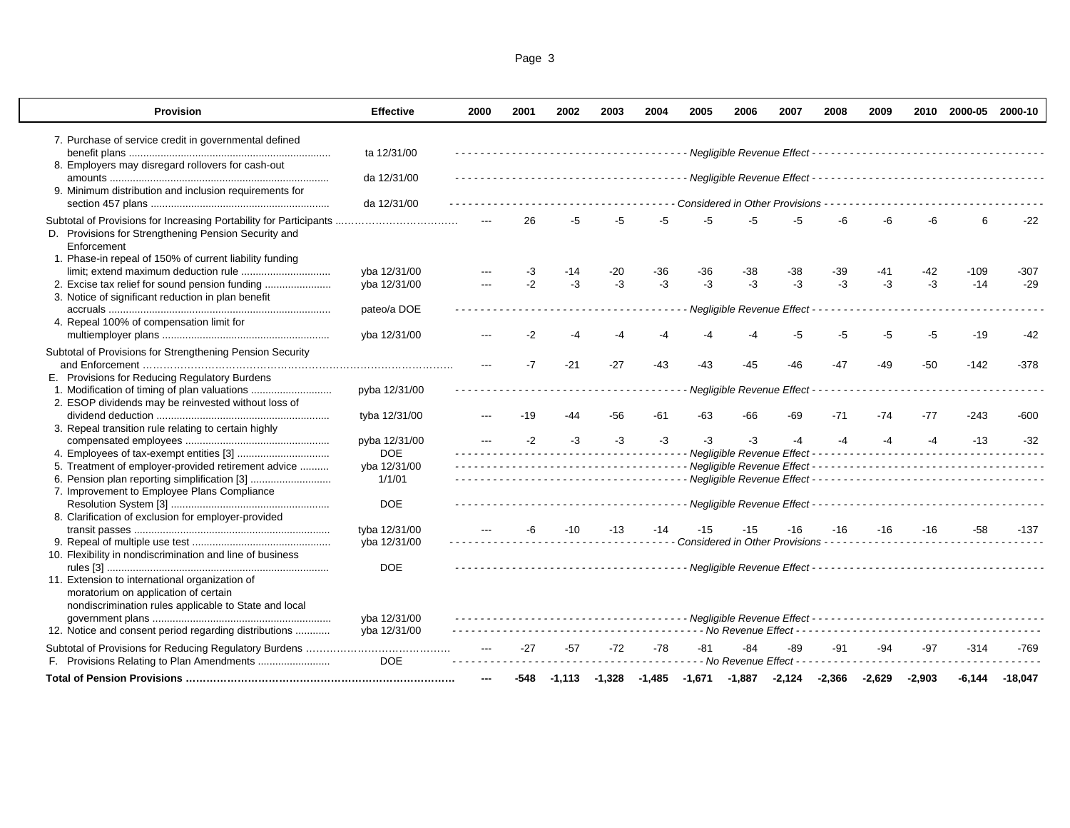| Page 3 |  |  |
|--------|--|--|
|        |  |  |

| <b>Provision</b>                                                    | <b>Effective</b> | 2000 | 2001 | 2002  | 2003  | 2004  | 2005 | 2006                             | 2007 | 2008  | 2009 |       | 2010 2000-05                                                                     | 2000-10 |
|---------------------------------------------------------------------|------------------|------|------|-------|-------|-------|------|----------------------------------|------|-------|------|-------|----------------------------------------------------------------------------------|---------|
| 7. Purchase of service credit in governmental defined               |                  |      |      |       |       |       |      |                                  |      |       |      |       |                                                                                  |         |
|                                                                     | ta 12/31/00      |      |      |       |       |       |      |                                  |      |       |      |       |                                                                                  |         |
| 8. Employers may disregard rollovers for cash-out                   |                  |      |      |       |       |       |      |                                  |      |       |      |       |                                                                                  |         |
|                                                                     | da 12/31/00      |      |      |       |       |       |      |                                  |      |       |      |       |                                                                                  |         |
| 9. Minimum distribution and inclusion requirements for              |                  |      |      |       |       |       |      |                                  |      |       |      |       |                                                                                  |         |
|                                                                     | da 12/31/00      |      |      |       |       |       |      | Considered in Other Provisions - |      |       |      |       |                                                                                  |         |
| Subtotal of Provisions for Increasing Portability for Participants  |                  |      | 26   | -5    | -5    |       |      |                                  |      |       |      |       | 6                                                                                | $-22$   |
| D. Provisions for Strengthening Pension Security and<br>Enforcement |                  |      |      |       |       |       |      |                                  |      |       |      |       |                                                                                  |         |
| 1. Phase-in repeal of 150% of current liability funding             |                  |      |      |       |       |       |      |                                  |      |       |      |       |                                                                                  |         |
|                                                                     | yba 12/31/00     |      | -3   | $-14$ | -20   | -36   | -36  | -38                              | -38  | -39   | -41  | -42   | $-109$                                                                           | $-307$  |
| 2. Excise tax relief for sound pension funding                      | yba 12/31/00     |      | $-2$ | $-3$  | $-3$  | $-3$  | $-3$ | $-3$                             | $-3$ | $-3$  | $-3$ | $-3$  | $-14$                                                                            | $-29$   |
| 3. Notice of significant reduction in plan benefit                  |                  |      |      |       |       |       |      |                                  |      |       |      |       |                                                                                  |         |
|                                                                     | pateo/a DOE      |      |      |       |       |       |      | Negligible Revenue Effect        |      |       |      |       |                                                                                  |         |
| 4. Repeal 100% of compensation limit for                            |                  |      |      |       |       |       |      |                                  |      |       |      |       |                                                                                  |         |
|                                                                     | yba 12/31/00     |      | -2   |       | -4    |       |      |                                  | -5   | -5    | -5   | -5    | $-19$                                                                            | $-42$   |
| Subtotal of Provisions for Strengthening Pension Security           |                  |      |      |       |       |       |      |                                  |      |       |      |       |                                                                                  |         |
|                                                                     |                  |      | $-7$ | $-21$ | $-27$ | $-43$ | -43  | -45                              | -46  | $-47$ | -49  | $-50$ | $-142$                                                                           | $-378$  |
| E. Provisions for Reducing Regulatory Burdens                       |                  |      |      |       |       |       |      |                                  |      |       |      |       |                                                                                  |         |
| 1. Modification of timing of plan valuations                        | pyba 12/31/00    |      |      |       |       |       |      | Negligible Revenue Effect        |      |       |      |       |                                                                                  |         |
| 2. ESOP dividends may be reinvested without loss of                 |                  |      |      |       |       |       |      |                                  |      |       |      |       |                                                                                  |         |
|                                                                     | tyba 12/31/00    |      | -19  | -44   | -56   | -61   | -63  | -66                              | -69  | $-71$ | -74  | $-77$ | $-243$                                                                           | $-600$  |
| 3. Repeal transition rule relating to certain highly                |                  |      |      |       |       |       |      |                                  |      |       |      |       |                                                                                  |         |
|                                                                     | pyba 12/31/00    |      | $-2$ | -3    | -3    | $-3$  | -3   | $-3$                             | $-4$ | $-4$  | $-4$ | $-4$  | $-13$                                                                            | $-32$   |
|                                                                     | <b>DOE</b>       |      |      |       |       |       |      | - Negligible Revenue Effect -    |      |       | .    |       |                                                                                  |         |
| 5. Treatment of employer-provided retirement advice                 | yba 12/31/00     |      |      |       |       |       |      |                                  |      |       |      |       |                                                                                  |         |
|                                                                     | 1/1/01           |      |      |       |       |       |      |                                  |      |       |      |       |                                                                                  |         |
| 7. Improvement to Employee Plans Compliance                         |                  |      |      |       |       |       |      |                                  |      |       |      |       |                                                                                  |         |
|                                                                     | <b>DOE</b>       |      |      |       |       |       |      |                                  |      |       |      |       |                                                                                  |         |
| 8. Clarification of exclusion for employer-provided                 |                  |      |      |       |       |       |      |                                  |      |       |      |       |                                                                                  |         |
|                                                                     | tyba 12/31/00    |      |      | -10   | $-13$ | -14   | -15  | -15                              | -16  | $-16$ | -16  | -16   | -58                                                                              | -137    |
|                                                                     | yba 12/31/00     |      |      |       |       |       |      | Considered in Other Provisions - |      |       |      |       |                                                                                  |         |
| 10. Flexibility in nondiscrimination and line of business           | <b>DOE</b>       |      |      |       |       |       |      |                                  |      |       |      |       |                                                                                  |         |
| 11. Extension to international organization of                      |                  |      |      |       |       |       |      |                                  |      |       |      |       |                                                                                  |         |
| moratorium on application of certain                                |                  |      |      |       |       |       |      |                                  |      |       |      |       |                                                                                  |         |
| nondiscrimination rules applicable to State and local               |                  |      |      |       |       |       |      |                                  |      |       |      |       |                                                                                  |         |
|                                                                     | yba 12/31/00     |      |      |       |       |       |      |                                  |      |       |      |       |                                                                                  |         |
| 12. Notice and consent period regarding distributions               | yba 12/31/00     |      |      |       |       |       |      |                                  |      |       |      |       | -------------------------- No Revenue Effect ----------------------------------- |         |
|                                                                     |                  |      | -27  | -57   | $-72$ | $-78$ | -81  | -84                              | -89  | -91   | -94  | -97   | $-314$                                                                           | $-769$  |
|                                                                     | <b>DOE</b>       |      |      |       |       |       |      | - No Revenue Effect - -          |      |       |      |       |                                                                                  |         |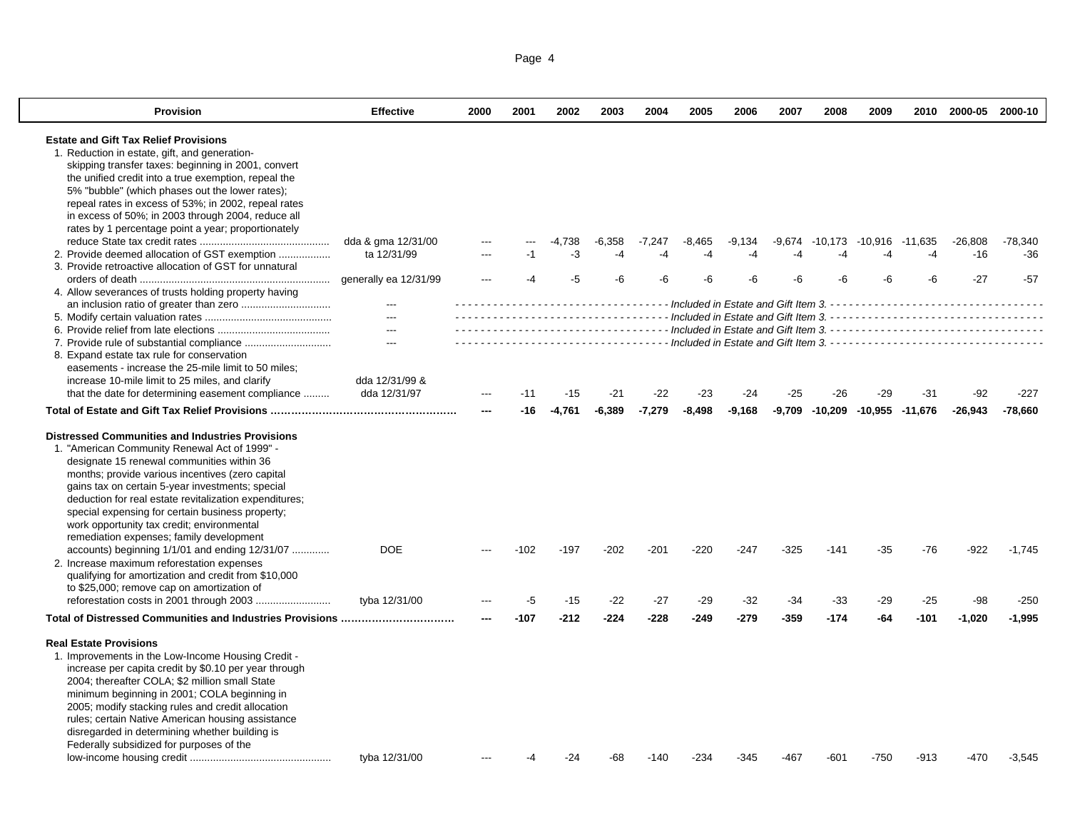| Page 4 |  |
|--------|--|
|        |  |

| <b>Provision</b>                                                                                   | <b>Effective</b>         | 2000 | 2001   | 2002     | 2003     | 2004     | 2005     | 2006     | 2007   | 2008    | 2009                                   |         | 2010 2000-05 2000-10 |           |
|----------------------------------------------------------------------------------------------------|--------------------------|------|--------|----------|----------|----------|----------|----------|--------|---------|----------------------------------------|---------|----------------------|-----------|
| <b>Estate and Gift Tax Relief Provisions</b>                                                       |                          |      |        |          |          |          |          |          |        |         |                                        |         |                      |           |
| 1. Reduction in estate, gift, and generation-                                                      |                          |      |        |          |          |          |          |          |        |         |                                        |         |                      |           |
| skipping transfer taxes: beginning in 2001, convert                                                |                          |      |        |          |          |          |          |          |        |         |                                        |         |                      |           |
| the unified credit into a true exemption, repeal the                                               |                          |      |        |          |          |          |          |          |        |         |                                        |         |                      |           |
| 5% "bubble" (which phases out the lower rates);                                                    |                          |      |        |          |          |          |          |          |        |         |                                        |         |                      |           |
| repeal rates in excess of 53%; in 2002, repeal rates                                               |                          |      |        |          |          |          |          |          |        |         |                                        |         |                      |           |
| in excess of 50%; in 2003 through 2004, reduce all                                                 |                          |      |        |          |          |          |          |          |        |         |                                        |         |                      |           |
| rates by 1 percentage point a year; proportionately                                                |                          |      |        |          |          |          |          |          |        |         |                                        |         |                      |           |
|                                                                                                    | dda & gma 12/31/00       |      |        | $-4,738$ | $-6,358$ | $-7,247$ | $-8,465$ | $-9,134$ | -9,674 | -10,173 | -10,916                                | -11,635 | $-26,808$            | $-78,340$ |
|                                                                                                    | ta 12/31/99              | ---  |        | $-3$     | -4       |          |          | -4       | -4     |         | -4                                     | $-4$    | $-16$                | $-36$     |
| 3. Provide retroactive allocation of GST for unnatural                                             |                          |      |        |          |          |          |          |          |        |         |                                        |         |                      |           |
|                                                                                                    | generally ea 12/31/99    |      |        | -5       |          |          |          |          |        |         | -6                                     | -6      | $-27$                | $-57$     |
| 4. Allow severances of trusts holding property having                                              | $\overline{a}$           |      |        |          |          |          |          |          |        |         |                                        |         |                      |           |
|                                                                                                    | $---$                    |      |        |          |          |          |          |          |        |         |                                        |         |                      |           |
|                                                                                                    | $---$                    |      |        |          |          |          |          |          |        |         |                                        |         |                      |           |
|                                                                                                    | $\hspace{0.05cm} \ldots$ |      |        |          |          |          |          |          |        |         |                                        |         |                      |           |
| 8. Expand estate tax rule for conservation                                                         |                          |      |        |          |          |          |          |          |        |         |                                        |         |                      |           |
| easements - increase the 25-mile limit to 50 miles;                                                |                          |      |        |          |          |          |          |          |        |         |                                        |         |                      |           |
| increase 10-mile limit to 25 miles, and clarify                                                    | dda 12/31/99 &           |      |        |          |          |          |          |          |        |         |                                        |         |                      |           |
| that the date for determining easement compliance                                                  | dda 12/31/97             |      | $-11$  | $-15$    | $-21$    | $-22$    | $-23$    | $-24$    | $-25$  | $-26$   | $-29$                                  | $-31$   | -92                  | $-227$    |
|                                                                                                    |                          |      | -16    | -4.761   | $-6.389$ | $-7.279$ | $-8.498$ | $-9,168$ |        |         | $-9,709$ $-10,209$ $-10,955$ $-11,676$ |         | $-26.943$            | $-78,660$ |
|                                                                                                    |                          |      |        |          |          |          |          |          |        |         |                                        |         |                      |           |
| <b>Distressed Communities and Industries Provisions</b>                                            |                          |      |        |          |          |          |          |          |        |         |                                        |         |                      |           |
| 1. "American Community Renewal Act of 1999" -                                                      |                          |      |        |          |          |          |          |          |        |         |                                        |         |                      |           |
| designate 15 renewal communities within 36                                                         |                          |      |        |          |          |          |          |          |        |         |                                        |         |                      |           |
| months; provide various incentives (zero capital                                                   |                          |      |        |          |          |          |          |          |        |         |                                        |         |                      |           |
| gains tax on certain 5-year investments; special                                                   |                          |      |        |          |          |          |          |          |        |         |                                        |         |                      |           |
| deduction for real estate revitalization expenditures;                                             |                          |      |        |          |          |          |          |          |        |         |                                        |         |                      |           |
| special expensing for certain business property;                                                   |                          |      |        |          |          |          |          |          |        |         |                                        |         |                      |           |
| work opportunity tax credit; environmental                                                         |                          |      |        |          |          |          |          |          |        |         |                                        |         |                      |           |
| remediation expenses; family development                                                           | <b>DOE</b>               |      |        |          |          |          |          |          |        |         |                                        |         |                      |           |
| accounts) beginning 1/1/01 and ending 12/31/07                                                     |                          |      | $-102$ | $-197$   | $-202$   | $-201$   | $-220$   | $-247$   | $-325$ | $-141$  | $-35$                                  | -76     | -922                 | $-1,745$  |
| 2. Increase maximum reforestation expenses<br>qualifying for amortization and credit from \$10,000 |                          |      |        |          |          |          |          |          |        |         |                                        |         |                      |           |
| to \$25,000; remove cap on amortization of                                                         |                          |      |        |          |          |          |          |          |        |         |                                        |         |                      |           |
|                                                                                                    | tyba 12/31/00            |      | -5     | $-15$    | $-22$    | $-27$    | $-29$    | $-32$    | $-34$  | -33     | $-29$                                  | $-25$   | -98                  | $-250$    |
|                                                                                                    |                          |      | $-107$ | $-212$   | $-224$   | $-228$   | $-249$   | $-279$   | $-359$ | $-174$  | $-64$                                  | $-101$  | $-1,020$             | $-1,995$  |
|                                                                                                    |                          |      |        |          |          |          |          |          |        |         |                                        |         |                      |           |
| <b>Real Estate Provisions</b>                                                                      |                          |      |        |          |          |          |          |          |        |         |                                        |         |                      |           |
| 1. Improvements in the Low-Income Housing Credit -                                                 |                          |      |        |          |          |          |          |          |        |         |                                        |         |                      |           |
| increase per capita credit by \$0.10 per year through                                              |                          |      |        |          |          |          |          |          |        |         |                                        |         |                      |           |
| 2004; thereafter COLA; \$2 million small State                                                     |                          |      |        |          |          |          |          |          |        |         |                                        |         |                      |           |
| minimum beginning in 2001; COLA beginning in                                                       |                          |      |        |          |          |          |          |          |        |         |                                        |         |                      |           |
| 2005; modify stacking rules and credit allocation                                                  |                          |      |        |          |          |          |          |          |        |         |                                        |         |                      |           |
| rules; certain Native American housing assistance                                                  |                          |      |        |          |          |          |          |          |        |         |                                        |         |                      |           |
| disregarded in determining whether building is                                                     |                          |      |        |          |          |          |          |          |        |         |                                        |         |                      |           |
| Federally subsidized for purposes of the                                                           |                          |      |        |          |          |          |          |          |        |         |                                        |         |                      |           |
|                                                                                                    | tyba 12/31/00            |      |        | -24      |          | -140     | -234     | -345     | -467   | -601    | $-750$                                 | $-913$  | -470                 | $-3,545$  |